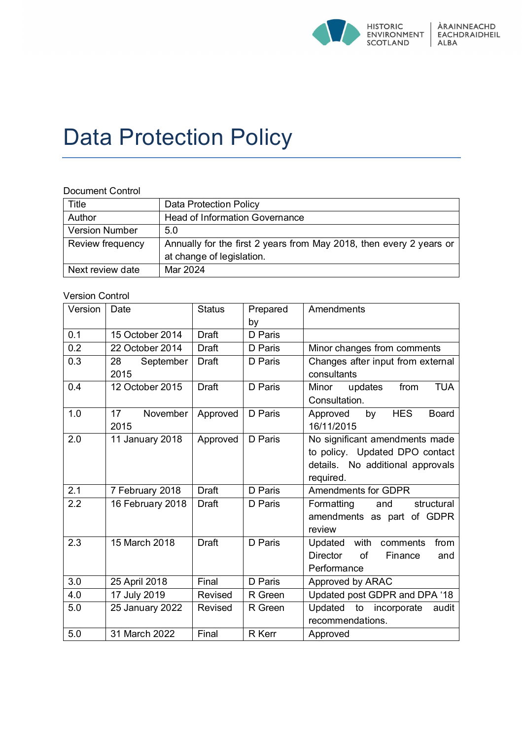

# Data Protection Policy

#### Document Control

| Title                 | <b>Data Protection Policy</b>                                       |
|-----------------------|---------------------------------------------------------------------|
| Author                | <b>Head of Information Governance</b>                               |
| <b>Version Number</b> | 5.0                                                                 |
| Review frequency      | Annually for the first 2 years from May 2018, then every 2 years or |
|                       | at change of legislation.                                           |
| Next review date      | Mar 2024                                                            |

#### Version Control

| Version | Date                         | <b>Status</b> | Prepared      | Amendments                                   |
|---------|------------------------------|---------------|---------------|----------------------------------------------|
|         |                              |               | by            |                                              |
| 0.1     | 15 October 2014              | <b>Draft</b>  | D Paris       |                                              |
| 0.2     | 22 October 2014              | <b>Draft</b>  | D Paris       | Minor changes from comments                  |
| 0.3     | September<br>28              | <b>Draft</b>  | D Paris       | Changes after input from external            |
|         | 2015                         |               |               | consultants                                  |
| 0.4     | 12 October 2015              | <b>Draft</b>  | D Paris       | from<br><b>TUA</b><br>Minor<br>updates       |
|         |                              |               |               | Consultation.                                |
| 1.0     | 17 <sup>17</sup><br>November | Approved      | D Paris       | <b>HES</b><br>by<br><b>Board</b><br>Approved |
|         | 2015                         |               |               | 16/11/2015                                   |
| 2.0     | 11 January 2018              | Approved      | D Paris       | No significant amendments made               |
|         |                              |               |               | to policy. Updated DPO contact               |
|         |                              |               |               | details. No additional approvals             |
|         |                              |               |               | required.                                    |
| 2.1     | 7 February 2018              | <b>Draft</b>  | D Paris       | <b>Amendments for GDPR</b>                   |
| 2.2     | 16 February 2018             | Draft         | D Paris       | Formatting<br>structural<br>and              |
|         |                              |               |               | amendments as part of GDPR                   |
|         |                              |               |               | review                                       |
| 2.3     | 15 March 2018                | <b>Draft</b>  | D Paris       | with<br>from<br>Updated<br>comments          |
|         |                              |               |               | <b>Director</b><br>of<br>Finance<br>and      |
|         |                              |               |               | Performance                                  |
| 3.0     | 25 April 2018                | Final         | D Paris       | Approved by ARAC                             |
| 4.0     | 17 July 2019                 | Revised       | R Green       | Updated post GDPR and DPA '18                |
| 5.0     | 25 January 2022              | Revised       | R Green       | Updated to incorporate<br>audit              |
|         |                              |               |               | recommendations.                             |
| 5.0     | 31 March 2022                | Final         | <b>R</b> Kerr | Approved                                     |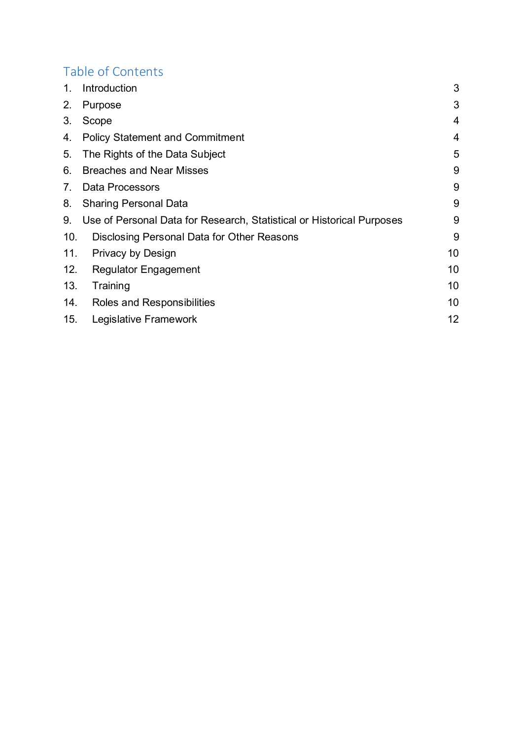## Table of Contents

| 1.  | Introduction                                                          | 3  |
|-----|-----------------------------------------------------------------------|----|
| 2.  | Purpose                                                               | 3  |
| 3.  | Scope                                                                 | 4  |
| 4.  | <b>Policy Statement and Commitment</b>                                | 4  |
| 5.  | The Rights of the Data Subject                                        | 5  |
| 6.  | <b>Breaches and Near Misses</b>                                       | 9  |
| 7.  | <b>Data Processors</b>                                                | 9  |
| 8.  | <b>Sharing Personal Data</b>                                          | 9  |
| 9.  | Use of Personal Data for Research, Statistical or Historical Purposes | 9  |
| 10. | Disclosing Personal Data for Other Reasons                            | 9  |
| 11. | Privacy by Design                                                     | 10 |
| 12. | <b>Regulator Engagement</b>                                           | 10 |
| 13. | Training                                                              | 10 |
| 14. | Roles and Responsibilities                                            | 10 |
| 15. | Legislative Framework                                                 | 12 |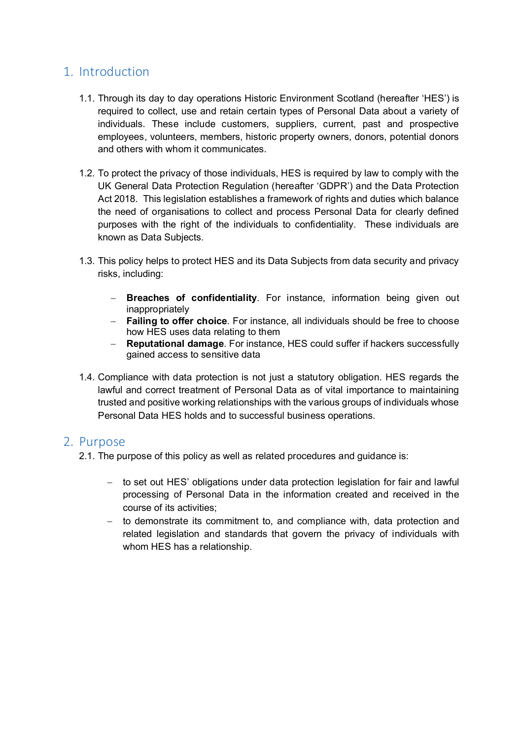## <span id="page-2-0"></span>1. Introduction

- 1.1. Through its day to day operations Historic Environment Scotland (hereafter 'HES') is required to collect, use and retain certain types of Personal Data about a variety of individuals. These include customers, suppliers, current, past and prospective employees, volunteers, members, historic property owners, donors, potential donors and others with whom it communicates.
- 1.2. To protect the privacy of those individuals, HES is required by law to comply with the UK General Data Protection Regulation (hereafter 'GDPR') and the Data Protection Act 2018. This legislation establishes a framework of rights and duties which balance the need of organisations to collect and process Personal Data for clearly defined purposes with the right of the individuals to confidentiality. These individuals are known as Data Subjects.
- 1.3. This policy helps to protect HES and its Data Subjects from data security and privacy risks, including:
	- − **Breaches of confidentiality**. For instance, information being given out inappropriately
	- − **Failing to offer choice**. For instance, all individuals should be free to choose how HES uses data relating to them
	- − **Reputational damage**. For instance, HES could suffer if hackers successfully gained access to sensitive data
- 1.4. Compliance with data protection is not just a statutory obligation. HES regards the lawful and correct treatment of Personal Data as of vital importance to maintaining trusted and positive working relationships with the various groups of individuals whose Personal Data HES holds and to successful business operations.

### <span id="page-2-1"></span>2. Purpose

- 2.1. The purpose of this policy as well as related procedures and guidance is:
	- − to set out HES' obligations under data protection legislation for fair and lawful processing of Personal Data in the information created and received in the course of its activities;
	- − to demonstrate its commitment to, and compliance with, data protection and related legislation and standards that govern the privacy of individuals with whom HES has a relationship.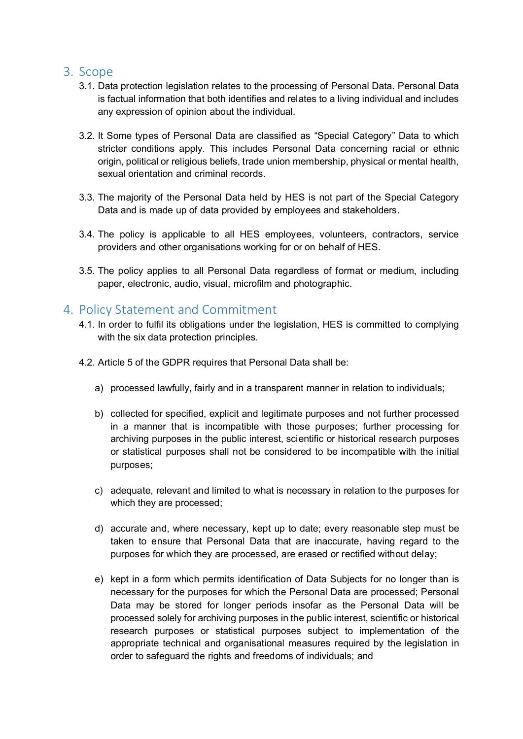## <span id="page-3-0"></span>3. Scope

- 3.1. Data protection legislation relates to the processing of Personal Data. Personal Data is factual information that both identifies and relates to a living individual and includes any expression of opinion about the individual.
- 3.2. It Some types of Personal Data are classified as "Special Category" Data to which stricter conditions apply. This includes Personal Data concerning racial or ethnic origin, political or religious beliefs, trade union membership, physical or mental health, sexual orientation and criminal records.
- 3.3. The majority of the Personal Data held by HES is not part of the Special Category Data and is made up of data provided by employees and stakeholders.
- 3.4. The policy is applicable to all HES employees, volunteers, contractors, service providers and other organisations working for or on behalf of HES.
- 3.5. The policy applies to all Personal Data regardless of format or medium, including paper, electronic, audio, visual, microfilm and photographic.

## <span id="page-3-1"></span>4. Policy Statement and Commitment

- 4.1. In order to fulfil its obligations under the legislation, HES is committed to complying with the six data protection principles.
- 4.2. Article 5 of the GDPR requires that Personal Data shall be:
	- a) processed lawfully, fairly and in a transparent manner in relation to individuals;
	- b) collected for specified, explicit and legitimate purposes and not further processed in a manner that is incompatible with those purposes; further processing for archiving purposes in the public interest, scientific or historical research purposes or statistical purposes shall not be considered to be incompatible with the initial purposes;
	- c) adequate, relevant and limited to what is necessary in relation to the purposes for which they are processed;
	- d) accurate and, where necessary, kept up to date; every reasonable step must be taken to ensure that Personal Data that are inaccurate, having regard to the purposes for which they are processed, are erased or rectified without delay;
	- e) kept in a form which permits identification of Data Subjects for no longer than is necessary for the purposes for which the Personal Data are processed; Personal Data may be stored for longer periods insofar as the Personal Data will be processed solely for archiving purposes in the public interest, scientific or historical research purposes or statistical purposes subject to implementation of the appropriate technical and organisational measures required by the legislation in order to safeguard the rights and freedoms of individuals; and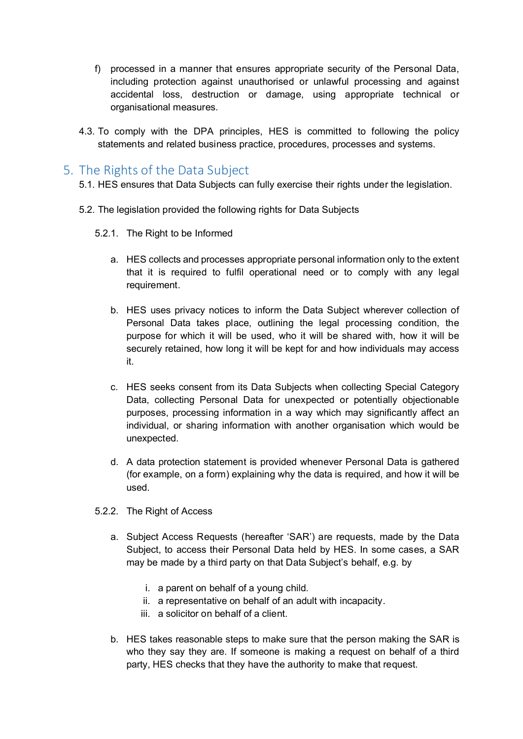- f) processed in a manner that ensures appropriate security of the Personal Data, including protection against unauthorised or unlawful processing and against accidental loss, destruction or damage, using appropriate technical or organisational measures.
- 4.3. To comply with the DPA principles, HES is committed to following the policy statements and related business practice, procedures, processes and systems.

## <span id="page-4-0"></span>5. The Rights of the Data Subject

- 5.1. HES ensures that Data Subjects can fully exercise their rights under the legislation.
- 5.2. The legislation provided the following rights for Data Subjects
	- 5.2.1. The Right to be Informed
		- a. HES collects and processes appropriate personal information only to the extent that it is required to fulfil operational need or to comply with any legal requirement.
		- b. HES uses privacy notices to inform the Data Subject wherever collection of Personal Data takes place, outlining the legal processing condition, the purpose for which it will be used, who it will be shared with, how it will be securely retained, how long it will be kept for and how individuals may access it.
		- c. HES seeks consent from its Data Subjects when collecting Special Category Data, collecting Personal Data for unexpected or potentially objectionable purposes, processing information in a way which may significantly affect an individual, or sharing information with another organisation which would be unexpected.
		- d. A data protection statement is provided whenever Personal Data is gathered (for example, on a form) explaining why the data is required, and how it will be used.
	- 5.2.2. The Right of Access
		- a. Subject Access Requests (hereafter 'SAR') are requests, made by the Data Subject, to access their Personal Data held by HES. In some cases, a SAR may be made by a third party on that Data Subject's behalf, e.g. by
			- i. a parent on behalf of a young child.
			- ii. a representative on behalf of an adult with incapacity.
			- iii. a solicitor on behalf of a client.
		- b. HES takes reasonable steps to make sure that the person making the SAR is who they say they are. If someone is making a request on behalf of a third party, HES checks that they have the authority to make that request.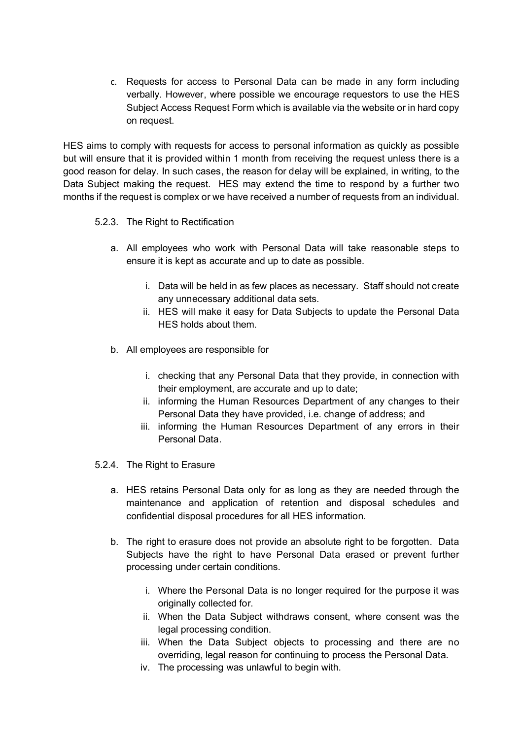c. Requests for access to Personal Data can be made in any form including verbally. However, where possible we encourage requestors to use the HES Subject Access Request Form which is available via the website or in hard copy on request.

HES aims to comply with requests for access to personal information as quickly as possible but will ensure that it is provided within 1 month from receiving the request unless there is a good reason for delay. In such cases, the reason for delay will be explained, in writing, to the Data Subject making the request. HES may extend the time to respond by a further two months if the request is complex or we have received a number of requests from an individual.

#### 5.2.3. The Right to Rectification

- a. All employees who work with Personal Data will take reasonable steps to ensure it is kept as accurate and up to date as possible.
	- i. Data will be held in as few places as necessary. Staff should not create any unnecessary additional data sets.
	- ii. HES will make it easy for Data Subjects to update the Personal Data HES holds about them.
- b. All employees are responsible for
	- i. checking that any Personal Data that they provide, in connection with their employment, are accurate and up to date;
	- ii. informing the Human Resources Department of any changes to their Personal Data they have provided, i.e. change of address; and
	- iii. informing the Human Resources Department of any errors in their Personal Data.
- 5.2.4. The Right to Erasure
	- a. HES retains Personal Data only for as long as they are needed through the maintenance and application of retention and disposal schedules and confidential disposal procedures for all HES information.
	- b. The right to erasure does not provide an absolute right to be forgotten. Data Subjects have the right to have Personal Data erased or prevent further processing under certain conditions.
		- i. Where the Personal Data is no longer required for the purpose it was originally collected for.
		- ii. When the Data Subject withdraws consent, where consent was the legal processing condition.
		- iii. When the Data Subject objects to processing and there are no overriding, legal reason for continuing to process the Personal Data.
		- iv. The processing was unlawful to begin with.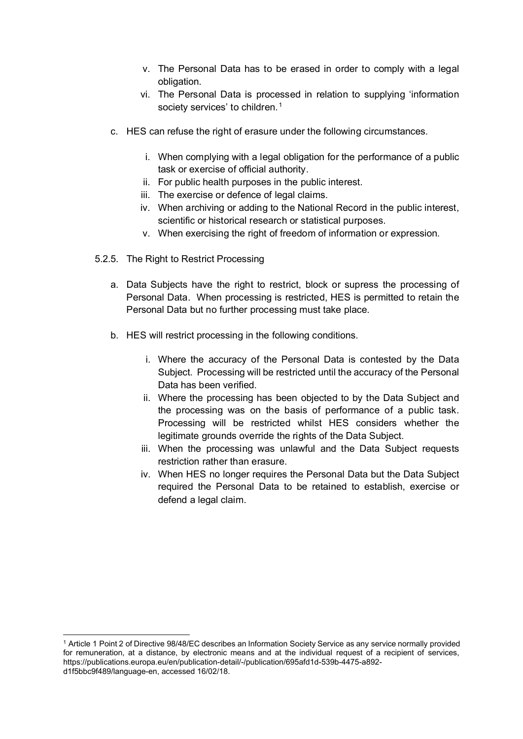- v. The Personal Data has to be erased in order to comply with a legal obligation.
- vi. The Personal Data is processed in relation to supplying 'information society services' to children.<sup>[1](#page-6-0)</sup>
- c. HES can refuse the right of erasure under the following circumstances.
	- i. When complying with a legal obligation for the performance of a public task or exercise of official authority.
	- ii. For public health purposes in the public interest.
	- iii. The exercise or defence of legal claims.
	- iv. When archiving or adding to the National Record in the public interest, scientific or historical research or statistical purposes.
	- v. When exercising the right of freedom of information or expression.
- 5.2.5. The Right to Restrict Processing
	- a. Data Subjects have the right to restrict, block or supress the processing of Personal Data. When processing is restricted, HES is permitted to retain the Personal Data but no further processing must take place.
	- b. HES will restrict processing in the following conditions.
		- i. Where the accuracy of the Personal Data is contested by the Data Subject. Processing will be restricted until the accuracy of the Personal Data has been verified.
		- ii. Where the processing has been objected to by the Data Subject and the processing was on the basis of performance of a public task. Processing will be restricted whilst HES considers whether the legitimate grounds override the rights of the Data Subject.
		- iii. When the processing was unlawful and the Data Subject requests restriction rather than erasure.
		- iv. When HES no longer requires the Personal Data but the Data Subject required the Personal Data to be retained to establish, exercise or defend a legal claim.

<span id="page-6-0"></span><sup>1</sup> Article 1 Point 2 of Directive 98/48/EC describes an Information Society Service as any service normally provided for remuneration, at a distance, by electronic means and at the individual request of a recipient of services, https://publications.europa.eu/en/publication-detail/-/publication/695afd1d-539b-4475-a892 d1f5bbc9f489/language-en, accessed 16/02/18.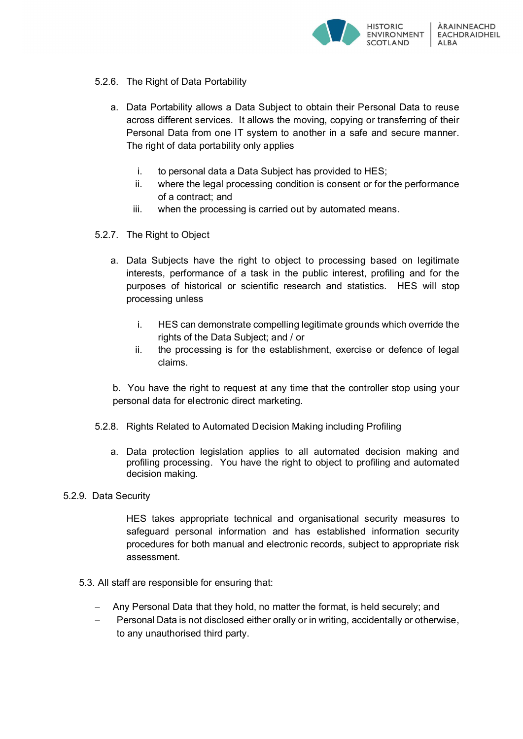

- 5.2.6. The Right of Data Portability
	- a. Data Portability allows a Data Subject to obtain their Personal Data to reuse across different services. It allows the moving, copying or transferring of their Personal Data from one IT system to another in a safe and secure manner. The right of data portability only applies
		- i. to personal data a Data Subject has provided to HES;
		- ii. where the legal processing condition is consent or for the performance of a contract; and
		- iii. when the processing is carried out by automated means.
- 5.2.7. The Right to Object
	- a. Data Subjects have the right to object to processing based on legitimate interests, performance of a task in the public interest, profiling and for the purposes of historical or scientific research and statistics. HES will stop processing unless
		- i. HES can demonstrate compelling legitimate grounds which override the rights of the Data Subject; and / or
		- ii. the processing is for the establishment, exercise or defence of legal claims.
	- b. You have the right to request at any time that the controller stop using your personal data for electronic direct marketing.
- 5.2.8. Rights Related to Automated Decision Making including Profiling
	- a. Data protection legislation applies to all automated decision making and profiling processing. You have the right to object to profiling and automated decision making.

#### 5.2.9. Data Security

HES takes appropriate technical and organisational security measures to safeguard personal information and has established information security procedures for both manual and electronic records, subject to appropriate risk assessment.

- 5.3. All staff are responsible for ensuring that:
	- − Any Personal Data that they hold, no matter the format, is held securely; and
	- − Personal Data is not disclosed either orally or in writing, accidentally or otherwise, to any unauthorised third party.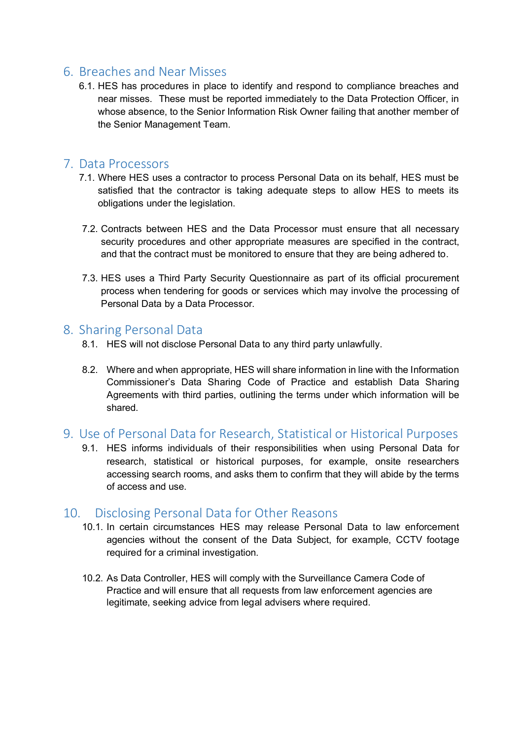## <span id="page-8-0"></span>6. Breaches and Near Misses

6.1. HES has procedures in place to identify and respond to compliance breaches and near misses. These must be reported immediately to the Data Protection Officer, in whose absence, to the Senior Information Risk Owner failing that another member of the Senior Management Team.

## <span id="page-8-1"></span>7. Data Processors

- 7.1. Where HES uses a contractor to process Personal Data on its behalf, HES must be satisfied that the contractor is taking adequate steps to allow HES to meets its obligations under the legislation.
- 7.2. Contracts between HES and the Data Processor must ensure that all necessary security procedures and other appropriate measures are specified in the contract, and that the contract must be monitored to ensure that they are being adhered to.
- 7.3. HES uses a Third Party Security Questionnaire as part of its official procurement process when tendering for goods or services which may involve the processing of Personal Data by a Data Processor.

## <span id="page-8-2"></span>8. Sharing Personal Data

- 8.1. HES will not disclose Personal Data to any third party unlawfully.
- 8.2. Where and when appropriate, HES will share information in line with the Information Commissioner's Data Sharing Code of Practice and establish Data Sharing Agreements with third parties, outlining the terms under which information will be shared.
- <span id="page-8-3"></span>9. Use of Personal Data for Research, Statistical or Historical Purposes
	- 9.1. HES informs individuals of their responsibilities when using Personal Data for research, statistical or historical purposes, for example, onsite researchers accessing search rooms, and asks them to confirm that they will abide by the terms of access and use.

## <span id="page-8-4"></span>10. Disclosing Personal Data for Other Reasons

- 10.1. In certain circumstances HES may release Personal Data to law enforcement agencies without the consent of the Data Subject, for example, CCTV footage required for a criminal investigation.
- <span id="page-8-5"></span>10.2. As Data Controller, HES will comply with the Surveillance Camera Code of Practice and will ensure that all requests from law enforcement agencies are legitimate, seeking advice from legal advisers where required.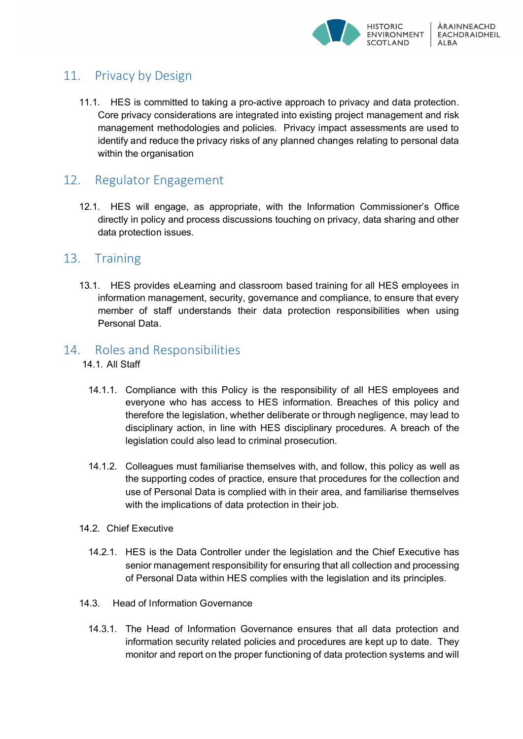

## 11. Privacy by Design

11.1. HES is committed to taking a pro-active approach to privacy and data protection. Core privacy considerations are integrated into existing project management and risk management methodologies and policies. Privacy impact assessments are used to identify and reduce the privacy risks of any planned changes relating to personal data within the organisation

## <span id="page-9-0"></span>12. Regulator Engagement

12.1. HES will engage, as appropriate, with the Information Commissioner's Office directly in policy and process discussions touching on privacy, data sharing and other data protection issues.

## <span id="page-9-1"></span>13. Training

13.1. HES provides eLearning and classroom based training for all HES employees in information management, security, governance and compliance, to ensure that every member of staff understands their data protection responsibilities when using Personal Data.

## <span id="page-9-2"></span>14. Roles and Responsibilities

- 14.1. All Staff
	- 14.1.1. Compliance with this Policy is the responsibility of all HES employees and everyone who has access to HES information. Breaches of this policy and therefore the legislation, whether deliberate or through negligence, may lead to disciplinary action, in line with HES disciplinary procedures. A breach of the legislation could also lead to criminal prosecution.
	- 14.1.2. Colleagues must familiarise themselves with, and follow, this policy as well as the supporting codes of practice, ensure that procedures for the collection and use of Personal Data is complied with in their area, and familiarise themselves with the implications of data protection in their job.
- 14.2. Chief Executive
	- 14.2.1. HES is the Data Controller under the legislation and the Chief Executive has senior management responsibility for ensuring that all collection and processing of Personal Data within HES complies with the legislation and its principles.
- 14.3. Head of Information Governance
	- 14.3.1. The Head of Information Governance ensures that all data protection and information security related policies and procedures are kept up to date. They monitor and report on the proper functioning of data protection systems and will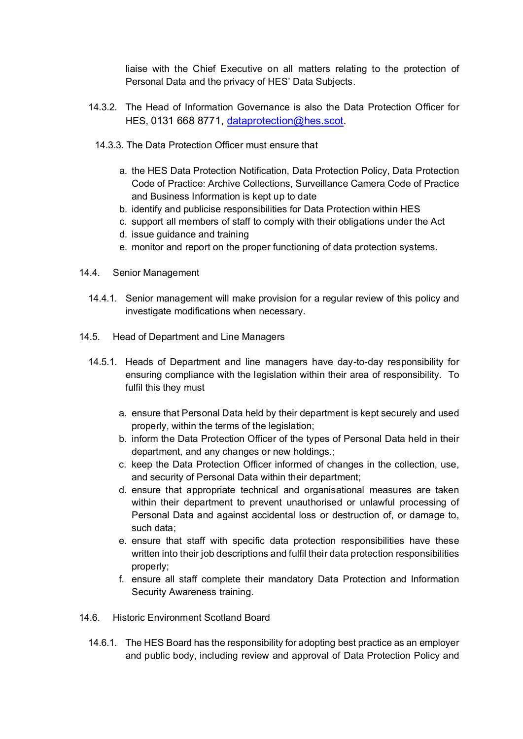liaise with the Chief Executive on all matters relating to the protection of Personal Data and the privacy of HES' Data Subjects.

- 14.3.2. The Head of Information Governance is also the Data Protection Officer for HES, 0131 668 8771, [dataprotection@hes.scot.](mailto:dataprotection@hes.scot)
	- 14.3.3. The Data Protection Officer must ensure that
		- a. the HES Data Protection Notification, Data Protection Policy, Data Protection Code of Practice: Archive Collections, Surveillance Camera Code of Practice and Business Information is kept up to date
		- b. identify and publicise responsibilities for Data Protection within HES
		- c. support all members of staff to comply with their obligations under the Act
		- d. issue guidance and training
		- e. monitor and report on the proper functioning of data protection systems.
- 14.4. Senior Management
	- 14.4.1. Senior management will make provision for a regular review of this policy and investigate modifications when necessary.
- 14.5. Head of Department and Line Managers
	- 14.5.1. Heads of Department and line managers have day-to-day responsibility for ensuring compliance with the legislation within their area of responsibility. To fulfil this they must
		- a. ensure that Personal Data held by their department is kept securely and used properly, within the terms of the legislation;
		- b. inform the Data Protection Officer of the types of Personal Data held in their department, and any changes or new holdings.;
		- c. keep the Data Protection Officer informed of changes in the collection, use, and security of Personal Data within their department;
		- d. ensure that appropriate technical and organisational measures are taken within their department to prevent unauthorised or unlawful processing of Personal Data and against accidental loss or destruction of, or damage to, such data;
		- e. ensure that staff with specific data protection responsibilities have these written into their job descriptions and fulfil their data protection responsibilities properly;
		- f. ensure all staff complete their mandatory Data Protection and Information Security Awareness training.
- 14.6. Historic Environment Scotland Board
	- 14.6.1. The HES Board has the responsibility for adopting best practice as an employer and public body, including review and approval of Data Protection Policy and